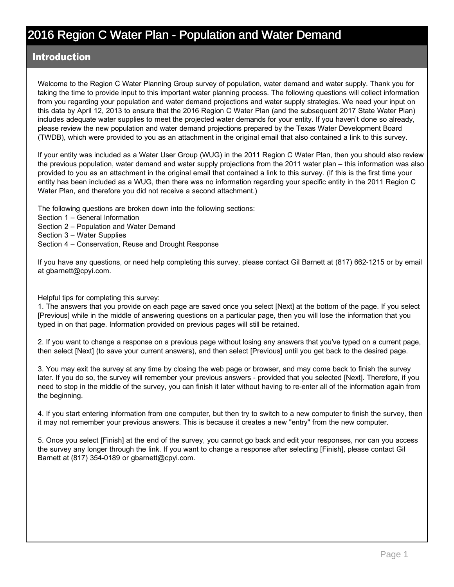#### Introduction

Welcome to the Region C Water Planning Group survey of population, water demand and water supply. Thank you for taking the time to provide input to this important water planning process. The following questions will collect information from you regarding your population and water demand projections and water supply strategies. We need your input on this data by April 12, 2013 to ensure that the 2016 Region C Water Plan (and the subsequent 2017 State Water Plan) includes adequate water supplies to meet the projected water demands for your entity. If you haven't done so already, please review the new population and water demand projections prepared by the Texas Water Development Board (TWDB), which were provided to you as an attachment in the original email that also contained a link to this survey.

If your entity was included as a Water User Group (WUG) in the 2011 Region C Water Plan, then you should also review the previous population, water demand and water supply projections from the 2011 water plan – this information was also provided to you as an attachment in the original email that contained a link to this survey. (If this is the first time your entity has been included as a WUG, then there was no information regarding your specific entity in the 2011 Region C Water Plan, and therefore you did not receive a second attachment.)

The following questions are broken down into the following sections:

- Section 1 General Information
- Section 2 Population and Water Demand
- Section 3 Water Supplies
- Section 4 Conservation, Reuse and Drought Response

If you have any questions, or need help completing this survey, please contact Gil Barnett at (817) 662-1215 or by email at gbarnett@cpyi.com.

Helpful tips for completing this survey:

1. The answers that you provide on each page are saved once you select [Next] at the bottom of the page. If you select [Previous] while in the middle of answering questions on a particular page, then you will lose the information that you typed in on that page. Information provided on previous pages will still be retained.

2. If you want to change a response on a previous page without losing any answers that you've typed on a current page, then select [Next] (to save your current answers), and then select [Previous] until you get back to the desired page.

3. You may exit the survey at any time by closing the web page or browser, and may come back to finish the survey later. If you do so, the survey will remember your previous answers - provided that you selected [Next]. Therefore, if you need to stop in the middle of the survey, you can finish it later without having to re-enter all of the information again from the beginning.

4. If you start entering information from one computer, but then try to switch to a new computer to finish the survey, then it may not remember your previous answers. This is because it creates a new "entry" from the new computer.

5. Once you select [Finish] at the end of the survey, you cannot go back and edit your responses, nor can you access the survey any longer through the link. If you want to change a response after selecting [Finish], please contact Gil Barnett at (817) 354-0189 or gbarnett@cpyi.com.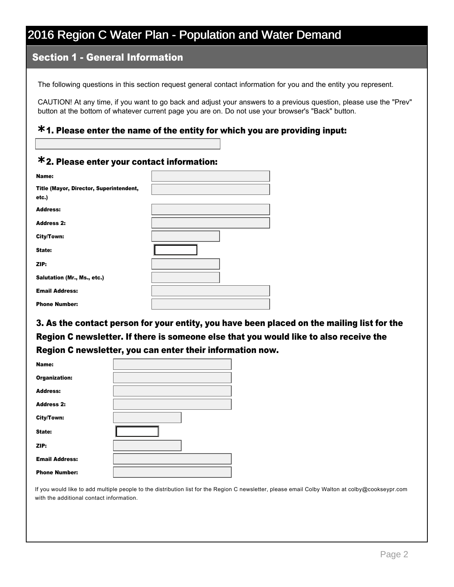### Section 1 General Information

The following questions in this section request general contact information for you and the entity you represent.

CAUTION! At any time, if you want to go back and adjust your answers to a previous question, please use the "Prev" button at the bottom of whatever current page you are on. Do not use your browser's "Back" button.

## 1. Please enter the name of the entity for which you are providing input: **\***

## 2. Please enter your contact information: **\***

| Name:                                            |  |
|--------------------------------------------------|--|
| Title (Mayor, Director, Superintendent,<br>etc.) |  |
| <b>Address:</b>                                  |  |
| <b>Address 2:</b>                                |  |
| City/Town:                                       |  |
| State:                                           |  |
| ZIP:                                             |  |
| Salutation (Mr., Ms., etc.)                      |  |
| <b>Email Address:</b>                            |  |
| <b>Phone Number:</b>                             |  |

3. As the contact person for your entity, you have been placed on the mailing list for the Region C newsletter. If there is someone else that you would like to also receive the Region C newsletter, you can enter their information now.

| Name:                 |  |
|-----------------------|--|
| <b>Organization:</b>  |  |
| <b>Address:</b>       |  |
| <b>Address 2:</b>     |  |
| City/Town:            |  |
| State:                |  |
| ZIP:                  |  |
| <b>Email Address:</b> |  |
| <b>Phone Number:</b>  |  |

If you would like to add multiple people to the distribution list for the Region C newsletter, please email Colby Walton at colby@cookseypr.com with the additional contact information.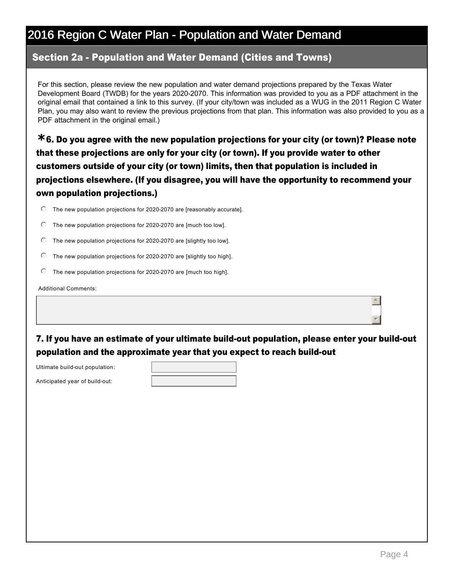### Section 2a - Population and Water Demand (Cities and Towns)

For this section, please review the new population and water demand projections prepared by the Texas Water Development Board (TWDB) for the years 2020-2070. This information was provided to you as a PDF attachment in the original email that contained a link to this survey. (If your city/town was included as a WUG in the 2011 Region C Water Plan, you may also want to review the previous projections from that plan. This information was also provided to you as a PDF attachment in the original email.)

6. Do you agree with the new population projections for your city (or town)? Please note **\*** that these projections are only for your city (or town). If you provide water to other customers outside of your city (or town) limits, then that population is included in projections elsewhere. (If you disagree, you will have the opportunity to recommend your own population projections.)

- $\degree$  The new population projections for 2020-2070 are [reasonably accurate].
- $\degree$  The new population projections for 2020-2070 are [much too low].
- $\degree$  The new population projections for 2020-2070 are [slightly too low].
- $\degree$  The new population projections for 2020-2070 are [slightly too high].
- The new population projections for 2020-2070 are [much too high].

Additional Comments:

7. If you have an estimate of your ultimate build-out population, please enter your build-out population and the approximate year that you expect to reach build-out

Ultimate build-out population:

Anticipated year of build-out:

 $\overline{\phantom{a}}$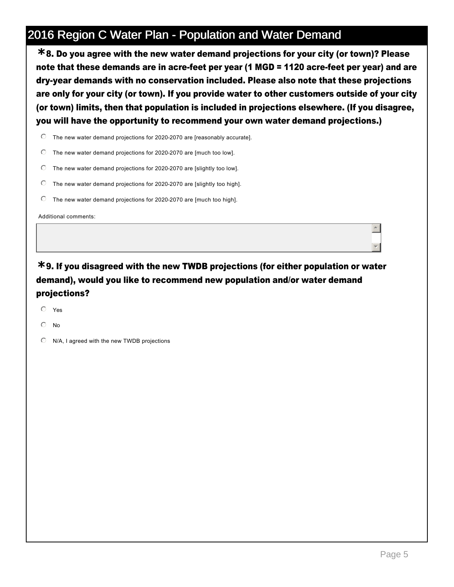8. Do you agree with the new water demand projections for your city (or town)? Please **\*** note that these demands are in acre-feet per year (1 MGD = 1120 acre-feet per year) and are dry-year demands with no conservation included. Please also note that these projections are only for your city (or town). If you provide water to other customers outside of your city (or town) limits, then that population is included in projections elsewhere. (If you disagree, you will have the opportunity to recommend your own water demand projections.)

 $\degree$  The new water demand projections for 2020-2070 are [reasonably accurate].

- $\degree$  The new water demand projections for 2020-2070 are [much too low].
- $\degree$  The new water demand projections for 2020-2070 are [slightly too low].
- The new water demand projections for 2020-2070 are [slightly too high].
- $\degree$  The new water demand projections for 2020-2070 are [much too high].

Additional comments:

## 9. If you disagreed with the new TWDB projections (for either population or water **\*** demand), would you like to recommend new population and/or water demand projections?

- $O$  Yes
- $\odot$  No
- $\odot$  N/A, I agreed with the new TWDB projections

 $\overline{a}$ 

 $\overline{\phantom{a}}$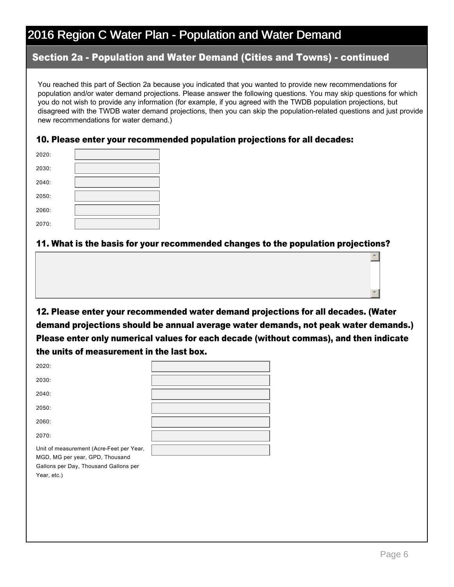### Section 2a - Population and Water Demand (Cities and Towns) - continued

You reached this part of Section 2a because you indicated that you wanted to provide new recommendations for population and/or water demand projections. Please answer the following questions. You may skip questions for which you do not wish to provide any information (for example, if you agreed with the TWDB population projections, but disagreed with the TWDB water demand projections, then you can skip the population-related questions and just provide new recommendations for water demand.)

#### 10. Please enter your recommended population projections for all decades:

| 2020: |  |
|-------|--|
| 2030: |  |
| 2040: |  |
| 2050: |  |
| 2060: |  |
| 2070: |  |

Year, etc.)

#### 11. What is the basis for your recommended changes to the population projections?

12. Please enter your recommended water demand projections for all decades. (Water demand projections should be annual average water demands, not peak water demands.) Please enter only numerical values for each decade (without commas), and then indicate the units of measurement in the last box.

| 2020:                                                                                                                |  |
|----------------------------------------------------------------------------------------------------------------------|--|
| 2030:                                                                                                                |  |
| 2040:                                                                                                                |  |
| 2050:                                                                                                                |  |
| 2060:                                                                                                                |  |
| 2070:                                                                                                                |  |
| Unit of measurement (Acre-Feet per Year,<br>MGD, MG per year, GPD, Thousand<br>Gallons per Day, Thousand Gallons per |  |

 $\overline{a}$ 

र |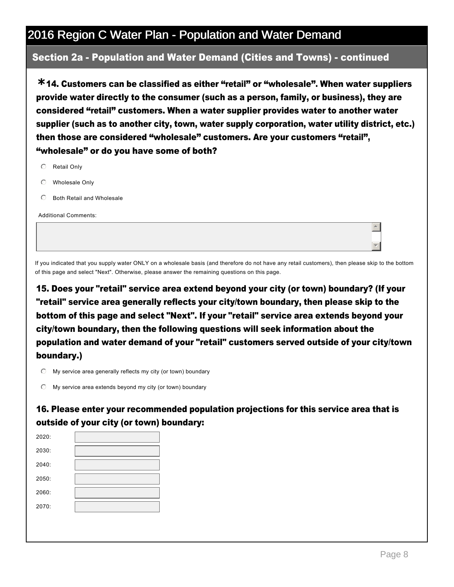### Section 2a - Population and Water Demand (Cities and Towns) - continued

14. Customers can be classified as either "retail" or "wholesale". When water suppliers **\*** provide water directly to the consumer (such as a person, family, or business), they are considered "retail" customers. When a water supplier provides water to another water supplier (such as to another city, town, water supply corporation, water utility district, etc.) then those are considered "wholesale" customers. Are your customers "retail", "wholesale" or do you have some of both?

- $O$  Retail Only
- $O$  Wholesale Only
- $\odot$  Both Retail and Wholesale

Additional Comments:

If you indicated that you supply water ONLY on a wholesale basis (and therefore do not have any retail customers), then please skip to the bottom of this page and select "Next". Otherwise, please answer the remaining questions on this page.

15. Does your "retail" service area extend beyond your city (or town) boundary? (If your "retail" service area generally reflects your city/town boundary, then please skip to the bottom of this page and select "Next". If your "retail" service area extends beyond your city/town boundary, then the following questions will seek information about the population and water demand of your "retail" customers served outside of your city/town boundary.)

 $\heartsuit$  My service area generally reflects my city (or town) boundary

 $\mathbb O$  My service area extends beyond my city (or town) boundary

16. Please enter your recommended population projections for this service area that is outside of your city (or town) boundary:

| 2020: |  |
|-------|--|
| 2030: |  |
| 2040: |  |
| 2050: |  |
| 2060: |  |
| 2070: |  |
|       |  |

 $\overline{a}$ 

 $\overline{\phantom{a}}$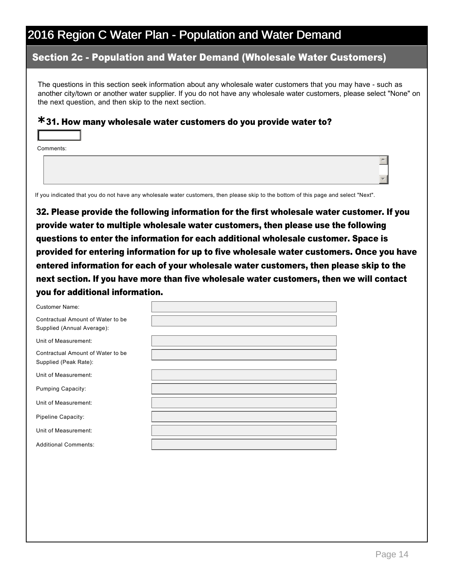### Section 2c Population and Water Demand (Wholesale Water Customers)

The questions in this section seek information about any wholesale water customers that you may have - such as another city/town or another water supplier. If you do not have any wholesale water customers, please select "None" on the next question, and then skip to the next section.

## 31. How many wholesale water customers do you provide water to? **\***

Comments:

6

If you indicated that you do not have any wholesale water customers, then please skip to the bottom of this page and select "Next".

32. Please provide the following information for the first wholesale water customer. If you provide water to multiple wholesale water customers, then please use the following questions to enter the information for each additional wholesale customer. Space is provided for entering information for up to five wholesale water customers. Once you have entered information for each of your wholesale water customers, then please skip to the next section. If you have more than five wholesale water customers, then we will contact you for additional information.

Customer Name:

Contractual Amount of Water to be Supplied (Annual Average):

Unit of Measurement:

Contractual Amount of Water to be Supplied (Peak Rate):

Unit of Measurement:

Pumping Capacity:

Unit of Measurement:

Pipeline Capacity:

Unit of Measurement:

Additional Comments:

 $\overline{\phantom{a}}$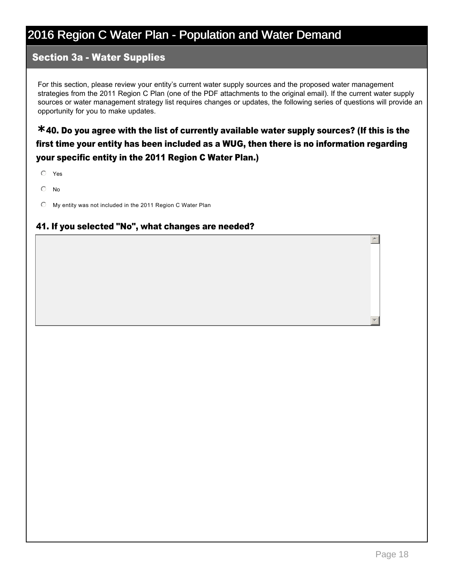### **Section 3a - Water Supplies**

For this section, please review your entity's current water supply sources and the proposed water management strategies from the 2011 Region C Plan (one of the PDF attachments to the original email). If the current water supply sources or water management strategy list requires changes or updates, the following series of questions will provide an opportunity for you to make updates.

40. Do you agree with the list of currently available water supply sources? (If this is the **\*** first time your entity has been included as a WUG, then there is no information regarding your specific entity in the 2011 Region C Water Plan.)

- $O$  Yes
- $\odot$  No
- $\degree$  My entity was not included in the 2011 Region C Water Plan

#### 41. If you selected "No", what changes are needed?

 $\overline{a}$ 

र |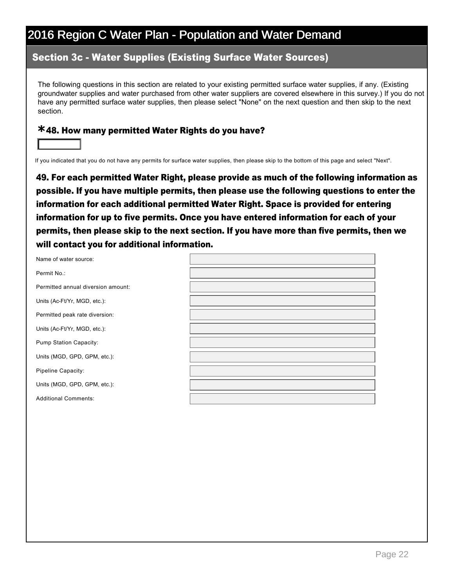### **Section 3c - Water Supplies (Existing Surface Water Sources)**

The following questions in this section are related to your existing permitted surface water supplies, if any. (Existing groundwater supplies and water purchased from other water suppliers are covered elsewhere in this survey.) If you do not have any permitted surface water supplies, then please select "None" on the next question and then skip to the next section.

## 48. How many permitted Water Rights do you have? **\***

6

If you indicated that you do not have any permits for surface water supplies, then please skip to the bottom of this page and select "Next".

49. For each permitted Water Right, please provide as much of the following information as possible. If you have multiple permits, then please use the following questions to enter the information for each additional permitted Water Right. Space is provided for entering information for up to five permits. Once you have entered information for each of your permits, then please skip to the next section. If you have more than five permits, then we will contact you for additional information.

| Name of water source:              |  |
|------------------------------------|--|
| Permit No.:                        |  |
| Permitted annual diversion amount: |  |
| Units (Ac-Ft/Yr, MGD, etc.):       |  |
| Permitted peak rate diversion:     |  |
| Units (Ac-Ft/Yr, MGD, etc.):       |  |
| Pump Station Capacity:             |  |
| Units (MGD, GPD, GPM, etc.):       |  |
| Pipeline Capacity:                 |  |
| Units (MGD, GPD, GPM, etc.):       |  |
| <b>Additional Comments:</b>        |  |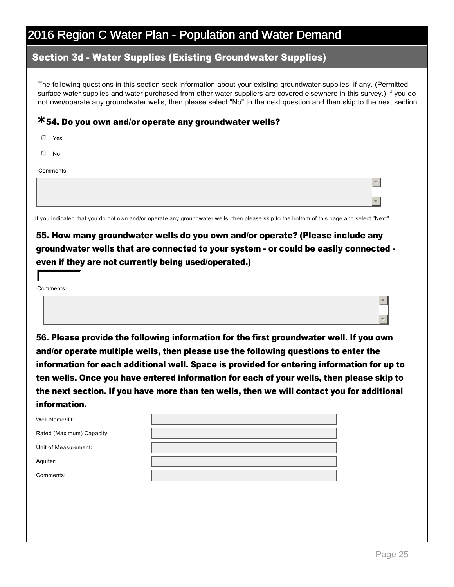### **Section 3d - Water Supplies (Existing Groundwater Supplies)**

The following questions in this section seek information about your existing groundwater supplies, if any. (Permitted surface water supplies and water purchased from other water suppliers are covered elsewhere in this survey.) If you do not own/operate any groundwater wells, then please select "No" to the next question and then skip to the next section.

## 54. Do you own and/or operate any groundwater wells? **\***

| $\circ$<br>Yes |  |
|----------------|--|
| $\circ$ No     |  |
| Comments:      |  |
|                |  |
|                |  |

If you indicated that you do not own and/or operate any groundwater wells, then please skip to the bottom of this page and select "Next".

## 55. How many groundwater wells do you own and/or operate? (Please include any groundwater wells that are connected to your system - or could be easily connected even if they are not currently being used/operated.)

Comments:

6

56. Please provide the following information for the first groundwater well. If you own and/or operate multiple wells, then please use the following questions to enter the information for each additional well. Space is provided for entering information for up to ten wells. Once you have entered information for each of your wells, then please skip to the next section. If you have more than ten wells, then we will contact you for additional information.

| Well Name/ID:             |  |
|---------------------------|--|
| Rated (Maximum) Capacity: |  |
| Unit of Measurement:      |  |
| Aquifer:                  |  |
| Comments:                 |  |

 $\overline{\phantom{a}}$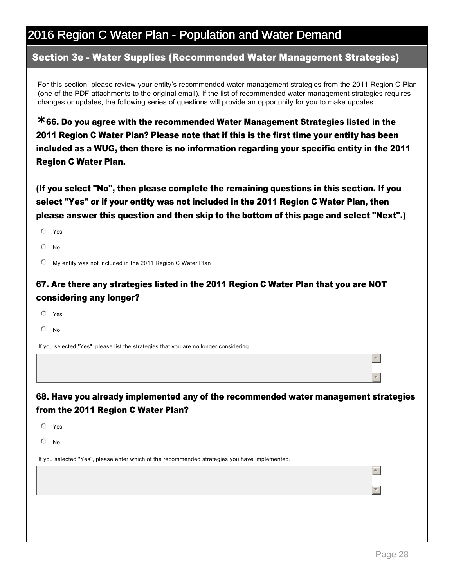### Section 3e - Water Supplies (Recommended Water Management Strategies)

For this section, please review your entity's recommended water management strategies from the 2011 Region C Plan (one of the PDF attachments to the original email). If the list of recommended water management strategies requires changes or updates, the following series of questions will provide an opportunity for you to make updates.

66. Do you agree with the recommended Water Management Strategies listed in the **\*** 2011 Region C Water Plan? Please note that if this is the first time your entity has been included as a WUG, then there is no information regarding your specific entity in the 2011 Region C Water Plan.

(If you select "No", then please complete the remaining questions in this section. If you select "Yes" or if your entity was not included in the 2011 Region C Water Plan, then please answer this question and then skip to the bottom of this page and select "Next".)

- $O$  Yes
- $\bigcap$  No

 $\degree$  My entity was not included in the 2011 Region C Water Plan

### 67. Are there any strategies listed in the 2011 Region C Water Plan that you are NOT considering any longer?

- $O$  Yes
- $\odot$  No

If you selected "Yes", please list the strategies that you are no longer considering.

### 68. Have you already implemented any of the recommended water management strategies from the 2011 Region C Water Plan?

 $O$  Yes

 $\odot$  No

If you selected "Yes", please enter which of the recommended strategies you have implemented.

 $\overline{\phantom{a}}$ 

 $\overline{\phantom{a}}$ 

 $\overline{a}$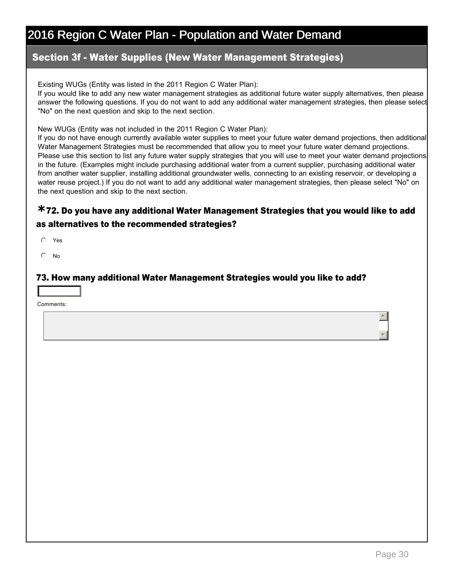### **Section 3f - Water Supplies (New Water Management Strategies)**

Existing WUGs (Entity was listed in the 2011 Region C Water Plan):

If you would like to add any new water management strategies as additional future water supply alternatives, then please answer the following questions. If you do not want to add any additional water management strategies, then please select "No" on the next question and skip to the next section.

New WUGs (Entity was not included in the 2011 Region C Water Plan):

If you do not have enough currently available water supplies to meet your future water demand projections, then additional Water Management Strategies must be recommended that allow you to meet your future water demand projections. Please use this section to list any future water supply strategies that you will use to meet your water demand projections in the future. (Examples might include purchasing additional water from a current supplier, purchasing additional water from another water supplier, installing additional groundwater wells, connecting to an existing reservoir, or developing a water reuse project.) If you do not want to add any additional water management strategies, then please select "No" on the next question and skip to the next section.

### 72. Do you have any additional Water Management Strategies that you would like to add **\*** as alternatives to the recommended strategies?

 $O$  Yes

 $\odot$  No

#### 73. How many additional Water Management Strategies would you like to add?

Comments:

6

 $\overline{\phantom{a}}$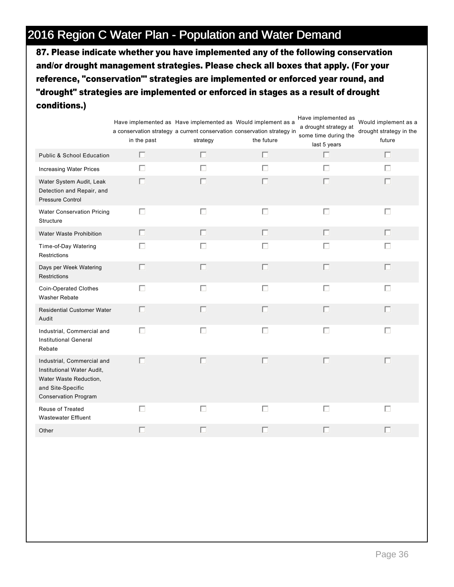87. Please indicate whether you have implemented any of the following conservation and/or drought management strategies. Please check all boxes that apply. (For your reference, "conservation"' strategies are implemented or enforced year round, and "drought" strategies are implemented or enforced in stages as a result of drought conditions.)

|                                                                                                                                        | in the past | Have implemented as Have implemented as Would implement as a<br>a conservation strategy a current conservation conservation strategy in<br>strategy | the future | Have implemented as<br>a drought strategy at<br>some time during the<br>last 5 years | Would implement as a<br>drought strategy in the<br>future |
|----------------------------------------------------------------------------------------------------------------------------------------|-------------|-----------------------------------------------------------------------------------------------------------------------------------------------------|------------|--------------------------------------------------------------------------------------|-----------------------------------------------------------|
| <b>Public &amp; School Education</b>                                                                                                   | Е           | П                                                                                                                                                   | $\Box$     | П                                                                                    | П                                                         |
| Increasing Water Prices                                                                                                                | П           | П                                                                                                                                                   | $\Box$     | П                                                                                    | П                                                         |
| Water System Audit, Leak<br>Detection and Repair, and<br>Pressure Control                                                              | п           | П                                                                                                                                                   | П          | П                                                                                    | П                                                         |
| Water Conservation Pricing<br>Structure                                                                                                | П           | $\Box$                                                                                                                                              | $\Box$     | $\Box$                                                                               | $\Box$                                                    |
| Water Waste Prohibition                                                                                                                | п           | П                                                                                                                                                   | п          | п                                                                                    | П                                                         |
| Time-of-Day Watering<br>Restrictions                                                                                                   | П           | $\Box$                                                                                                                                              | $\Box$     | П                                                                                    | П                                                         |
| Days per Week Watering<br><b>Restrictions</b>                                                                                          | П           | П                                                                                                                                                   | $\Box$     | П                                                                                    | П                                                         |
| <b>Coin-Operated Clothes</b><br>Washer Rebate                                                                                          | П           | $\Box$                                                                                                                                              | $\Box$     | П                                                                                    | П                                                         |
| <b>Residential Customer Water</b><br>Audit                                                                                             | П           | П                                                                                                                                                   | $\Box$     | $\Box$                                                                               | П                                                         |
| Industrial, Commercial and<br><b>Institutional General</b><br>Rebate                                                                   | П           | $\Box$                                                                                                                                              | $\Box$     | $\Box$                                                                               | П                                                         |
| Industrial, Commercial and<br>Institutional Water Audit,<br>Water Waste Reduction,<br>and Site-Specific<br><b>Conservation Program</b> | Г           | $\Box$                                                                                                                                              | $\Box$     | $\Box$                                                                               | П                                                         |
| Reuse of Treated<br><b>Wastewater Effluent</b>                                                                                         | г           | П                                                                                                                                                   | $\Box$     | $\Box$                                                                               | П                                                         |
| Other                                                                                                                                  | П           | г                                                                                                                                                   | П          | П                                                                                    |                                                           |